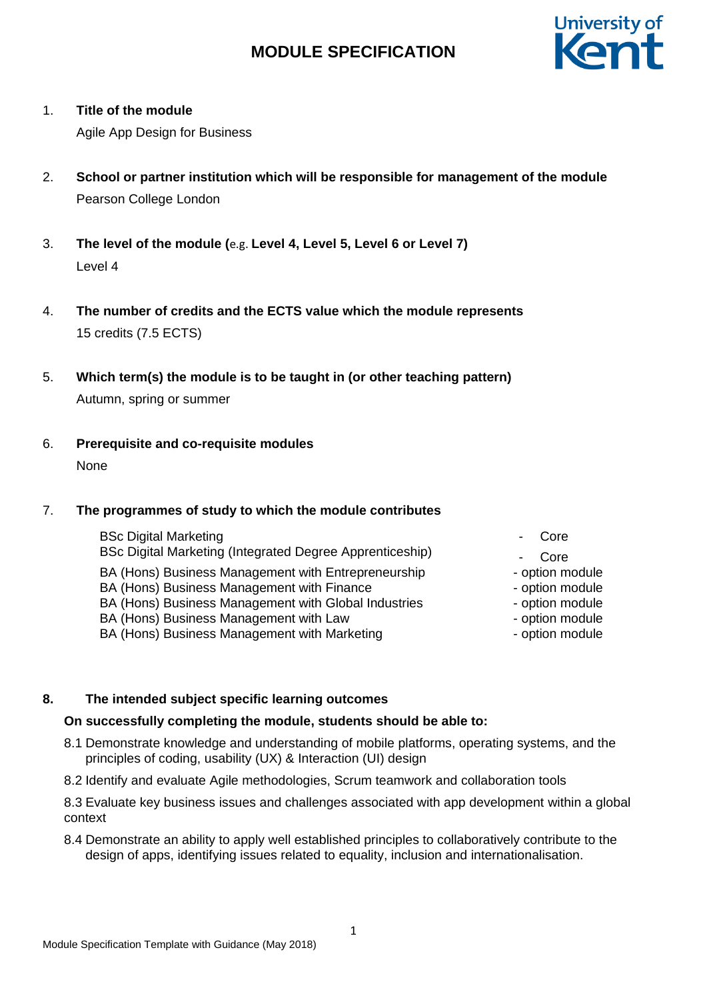

#### 1. **Title of the module**

Agile App Design for Business

- 2. **School or partner institution which will be responsible for management of the module** Pearson College London
- 3. **The level of the module (**e.g. **Level 4, Level 5, Level 6 or Level 7)** Level 4
- 4. **The number of credits and the ECTS value which the module represents** 15 credits (7.5 ECTS)
- 5. **Which term(s) the module is to be taught in (or other teaching pattern)** Autumn, spring or summer
- 6. **Prerequisite and co-requisite modules** None

## 7. **The programmes of study to which the module contributes**

BSc Digital Marketing BSc Digital Marketing (Integrated Degree Apprenticeship) BA (Hons) Business Management with Entrepreneurship BA (Hons) Business Management with Finance BA (Hons) Business Management with Global Industries - The option module BA (Hons) Business Management with Law entitled the second option module BA (Hons) Business Management with Marketing example and the option module

- **Core**
- **Core**
- option module<br>- option module
- 
- 
- 
- 

## **8. The intended subject specific learning outcomes**

## **On successfully completing the module, students should be able to:**

- 8.1 Demonstrate knowledge and understanding of mobile platforms, operating systems, and the principles of coding, usability (UX) & Interaction (UI) design
- 8.2 Identify and evaluate Agile methodologies, Scrum teamwork and collaboration tools

8.3 Evaluate key business issues and challenges associated with app development within a global context

8.4 Demonstrate an ability to apply well established principles to collaboratively contribute to the design of apps, identifying issues related to equality, inclusion and internationalisation.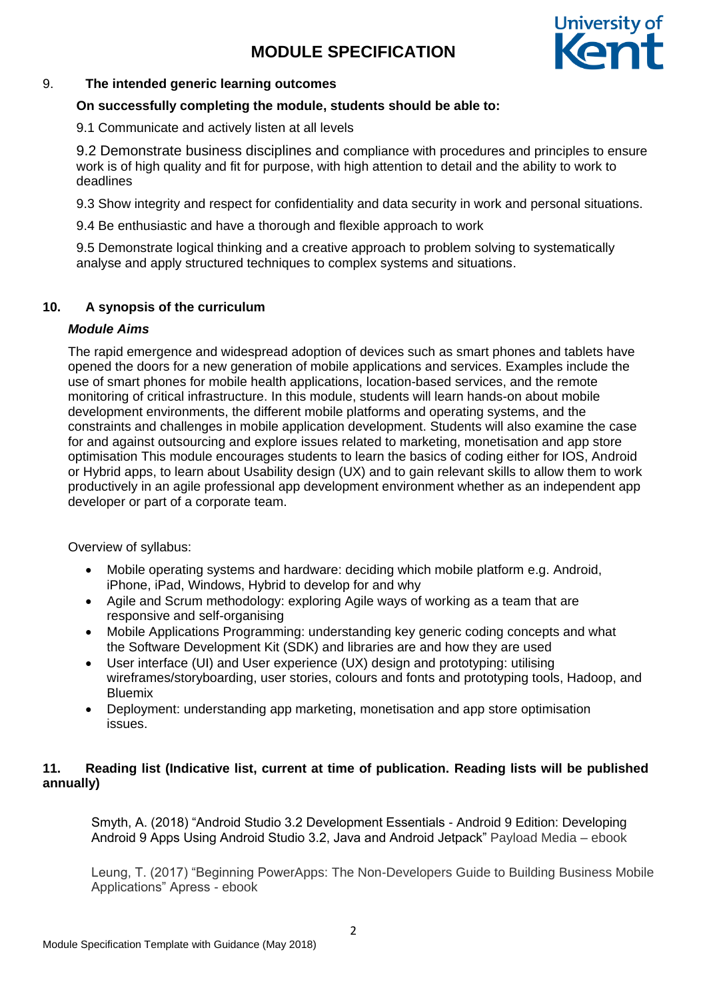

#### 9. **The intended generic learning outcomes**

#### **On successfully completing the module, students should be able to:**

9.1 Communicate and actively listen at all levels

9.2 Demonstrate business disciplines and compliance with procedures and principles to ensure work is of high quality and fit for purpose, with high attention to detail and the ability to work to deadlines

9.3 Show integrity and respect for confidentiality and data security in work and personal situations.

9.4 Be enthusiastic and have a thorough and flexible approach to work

9.5 Demonstrate logical thinking and a creative approach to problem solving to systematically analyse and apply structured techniques to complex systems and situations.

## **10. A synopsis of the curriculum**

#### *Module Aims*

The rapid emergence and widespread adoption of devices such as smart phones and tablets have opened the doors for a new generation of mobile applications and services. Examples include the use of smart phones for mobile health applications, location-based services, and the remote monitoring of critical infrastructure. In this module, students will learn hands-on about mobile development environments, the different mobile platforms and operating systems, and the constraints and challenges in mobile application development. Students will also examine the case for and against outsourcing and explore issues related to marketing, monetisation and app store optimisation This module encourages students to learn the basics of coding either for IOS, Android or Hybrid apps, to learn about Usability design (UX) and to gain relevant skills to allow them to work productively in an agile professional app development environment whether as an independent app developer or part of a corporate team.

Overview of syllabus:

- Mobile operating systems and hardware: deciding which mobile platform e.g. Android, iPhone, iPad, Windows, Hybrid to develop for and why
- Agile and Scrum methodology: exploring Agile ways of working as a team that are responsive and self-organising
- Mobile Applications Programming: understanding key generic coding concepts and what the Software Development Kit (SDK) and libraries are and how they are used
- User interface (UI) and User experience (UX) design and prototyping: utilising wireframes/storyboarding, user stories, colours and fonts and prototyping tools, Hadoop, and Bluemix
- Deployment: understanding app marketing, monetisation and app store optimisation issues.

## **11. Reading list (Indicative list, current at time of publication. Reading lists will be published annually)**

Smyth, A. (2018) "Android Studio 3.2 Development Essentials - Android 9 Edition: Developing Android 9 Apps Using Android Studio 3.2, Java and Android Jetpack" Payload Media – ebook

Leung, T. (2017) "Beginning PowerApps: The Non-Developers Guide to Building Business Mobile Applications" Apress - ebook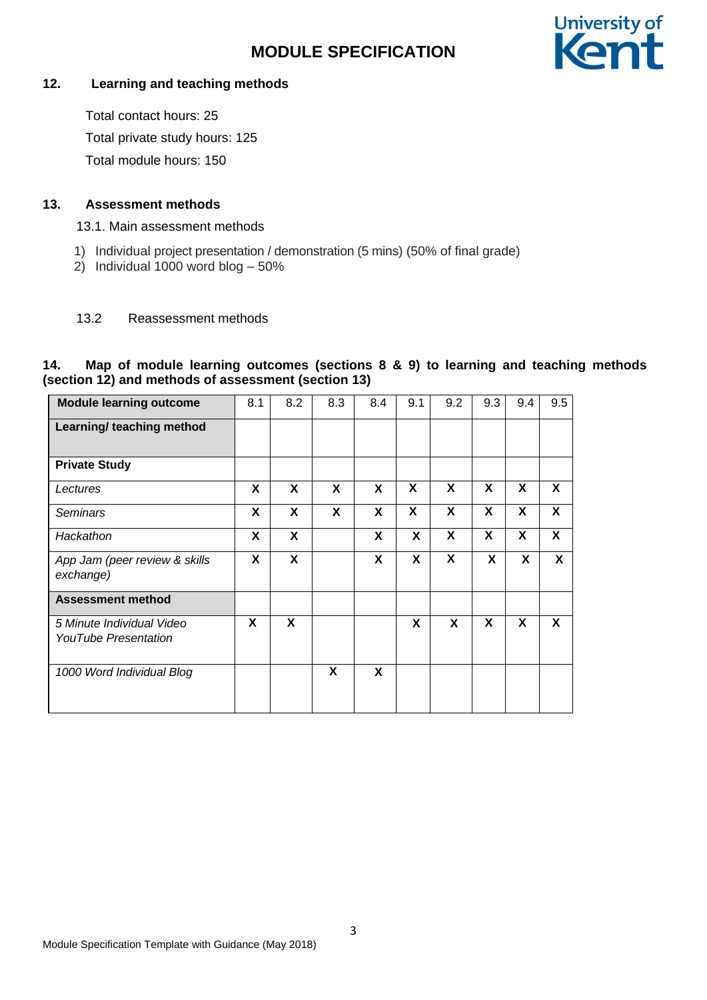

# **12. Learning and teaching methods**

Total contact hours: 25 Total private study hours: 125 Total module hours: 150

## **13. Assessment methods**

- 13.1. Main assessment methods
- 1) Individual project presentation / demonstration (5 mins) (50% of final grade)
- 2) Individual 1000 word blog 50%

#### 13.2 Reassessment methods

# **14. Map of module learning outcomes (sections 8 & 9) to learning and teaching methods (section 12) and methods of assessment (section 13)**

| <b>Module learning outcome</b>                           | 8.1 | 8.2                       | 8.3                       | 8.4 | 9.1 | 9.2 | 9.3                       | 9.4 | 9.5 |
|----------------------------------------------------------|-----|---------------------------|---------------------------|-----|-----|-----|---------------------------|-----|-----|
| Learning/ teaching method                                |     |                           |                           |     |     |     |                           |     |     |
| <b>Private Study</b>                                     |     |                           |                           |     |     |     |                           |     |     |
| Lectures                                                 | X   | X                         | $\boldsymbol{\mathsf{X}}$ | X   | X   | X   | X                         | X   | X   |
| <b>Seminars</b>                                          | X   | X                         | X                         | X   | X   | X   | X                         | X   | X   |
| Hackathon                                                | X   | $\boldsymbol{\mathsf{X}}$ |                           | X   | X   | X   | X                         | X   | X   |
| App Jam (peer review & skills<br>exchange)               | X   | $\boldsymbol{\mathsf{X}}$ |                           | X   | X   | X   | X                         | X   | X   |
| <b>Assessment method</b>                                 |     |                           |                           |     |     |     |                           |     |     |
| 5 Minute Individual Video<br><b>YouTube Presentation</b> | X   | $\boldsymbol{\mathsf{X}}$ |                           |     | X   | X   | $\boldsymbol{\mathsf{X}}$ | X   | X   |
| 1000 Word Individual Blog                                |     |                           | X                         | X   |     |     |                           |     |     |